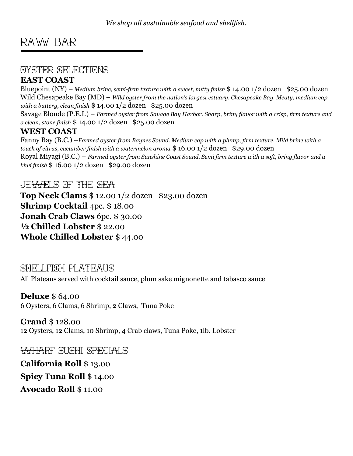## RAW BAR

## OYSTER SELECTIONS

## **EAST COAST**

Bluepoint (NY) – *Medium brine, semi-firm texture with a sweet, nutty finish* \$ 14.00 1/2 dozen \$25.00 dozen Wild Chesapeake Bay (MD) – *Wild oyster from the nation's largest estuary, Chesapeake Bay. Meaty, medium cap with a buttery, clean finish* \$ 14.00 1/2 dozen \$25.00 dozen

Savage Blonde (P.E.I.) – *Farmed oyster from Savage Bay Harbor. Sharp, briny flavor with a crisp, firm texture and a clean, stone finish* \$ 14.00 1/2 dozen \$25.00 dozen

#### **WEST COAST**

Fanny Bay (B.C.) –*Farmed oyster from Baynes Sound. Medium cap with a plump, firm texture. Mild brine with a touch of citrus, cucumber finish with a watermelon aroma* \$ 16.00 1/2 dozen \$29.00 dozen Royal Miyagi (B.C.) – *Farmed oyster from Sunshine Coast Sound. Semi firm texture with a soft, briny flavor and a kiwi finish* \$ 16.00 1/2 dozen \$29.00 dozen

#### $\epsilon$ JE $\forall$ A $\forall$ FI $\in$  SEA of T $\rightarrow$ F $\rightarrow$

**Top Neck Clams** \$ 12.00 1/2 dozen \$23.00 dozen **Shrimp Cocktail** 4pc. \$ 18.00 **Jonah Crab Claws** 6pc. \$ 30.00 **½ Chilled Lobster** \$ 22.00 **Whole Chilled Lobster** \$ 44.00

#### SHELLFISH PLATEAUS

All Plateaus served with cocktail sauce, plum sake mignonette and tabasco sauce

## **Deluxe** \$ 64.00

6 Oysters, 6 Clams, 6 Shrimp, 2 Claws, Tuna Poke

#### **Grand** \$ 128.00 12 Oysters, 12 Clams, 10 Shrimp, 4 Crab claws, Tuna Poke, 1lb. Lobster

WHARF SUSHI SPECIALS

**California Roll** \$ 13.00 **Spicy Tuna Roll** \$ 14.00 **Avocado Roll** \$ 11.00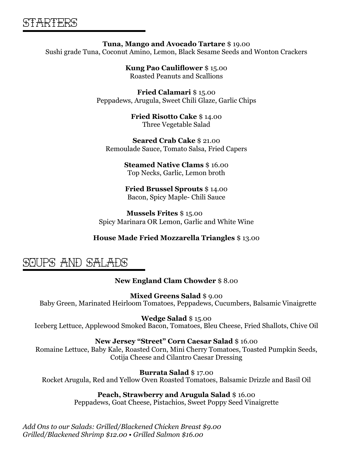**Tuna, Mango and Avocado Tartare** \$ 19.00 Sushi grade Tuna, Coconut Amino, Lemon, Black Sesame Seeds and Wonton Crackers

> **Kung Pao Cauliflower** \$ 15.00 Roasted Peanuts and Scallions

**Fried Calamari** \$ 15.00 Peppadews, Arugula, Sweet Chili Glaze, Garlic Chips

> **Fried Risotto Cake** \$ 14.00 Three Vegetable Salad

**Seared Crab Cake** \$ 21.00 Remoulade Sauce, Tomato Salsa, Fried Capers

> **Steamed Native Clams** \$ 16.00 Top Necks, Garlic, Lemon broth

**Fried Brussel Sprouts** \$ 14.00 Bacon, Spicy Maple- Chili Sauce

 **Mussels Frites** \$ 15.00 Spicy Marinara OR Lemon, Garlic and White Wine

#### **House Made Fried Mozzarella Triangles** \$ 13.00

## SOUPS and salads

#### **New England Clam Chowder** \$ 8.00

**Mixed Greens Salad** \$ 9.00 Baby Green, Marinated Heirloom Tomatoes, Peppadews, Cucumbers, Balsamic Vinaigrette

**Wedge Salad** \$ 15.00

Iceberg Lettuce, Applewood Smoked Bacon, Tomatoes, Bleu Cheese, Fried Shallots, Chive Oil

**New Jersey "Street" Corn Caesar Salad** \$ 16.00

Romaine Lettuce, Baby Kale, Roasted Corn, Mini Cherry Tomatoes, Toasted Pumpkin Seeds, Cotija Cheese and Cilantro Caesar Dressing

**Burrata Salad** \$ 17.00 Rocket Arugula, Red and Yellow Oven Roasted Tomatoes, Balsamic Drizzle and Basil Oil

#### **Peach, Strawberry and Arugula Salad** \$ 16.00

Peppadews, Goat Cheese, Pistachios, Sweet Poppy Seed Vinaigrette

*Add Ons to our Salads: Grilled/Blackened Chicken Breast \$9.00 Grilled/Blackened Shrimp \$12.00 • Grilled Salmon \$16.00*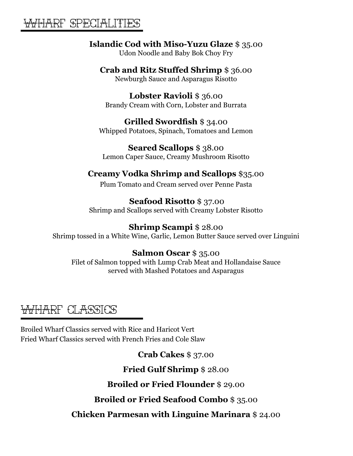## WHARF SPECIALITIES

## **Islandic Cod with Miso-Yuzu Glaze** \$ 35.00

Udon Noodle and Baby Bok Choy Fry

#### **Crab and Ritz Stuffed Shrimp** \$ 36.00

Newburgh Sauce and Asparagus Risotto

**Lobster Ravioli** \$ 36.00 Brandy Cream with Corn, Lobster and Burrata

## **Grilled Swordfish** \$ 34.00

Whipped Potatoes, Spinach, Tomatoes and Lemon

**Seared Scallops** \$ 38.00 Lemon Caper Sauce, Creamy Mushroom Risotto

## **Creamy Vodka Shrimp and Scallops** \$35.00

Plum Tomato and Cream served over Penne Pasta

## **Seafood Risotto** \$ 37.00

Shrimp and Scallops served with Creamy Lobster Risotto

## **Shrimp Scampi** \$ 28.00

Shrimp tossed in a White Wine, Garlic, Lemon Butter Sauce served over Linguini

## **Salmon Oscar** \$ 35.00

Filet of Salmon topped with Lump Crab Meat and Hollandaise Sauce served with Mashed Potatoes and Asparagus

# WHARF CLASSICS

Broiled Wharf Classics served with Rice and Haricot Vert Fried Wharf Classics served with French Fries and Cole Slaw

**Crab Cakes** \$ 37.00

**Fried Gulf Shrimp** \$ 28.00

**Broiled or Fried Flounder** \$ 29.00

## **Broiled or Fried Seafood Combo** \$ 35.00

**Chicken Parmesan with Linguine Marinara** \$ 24.00